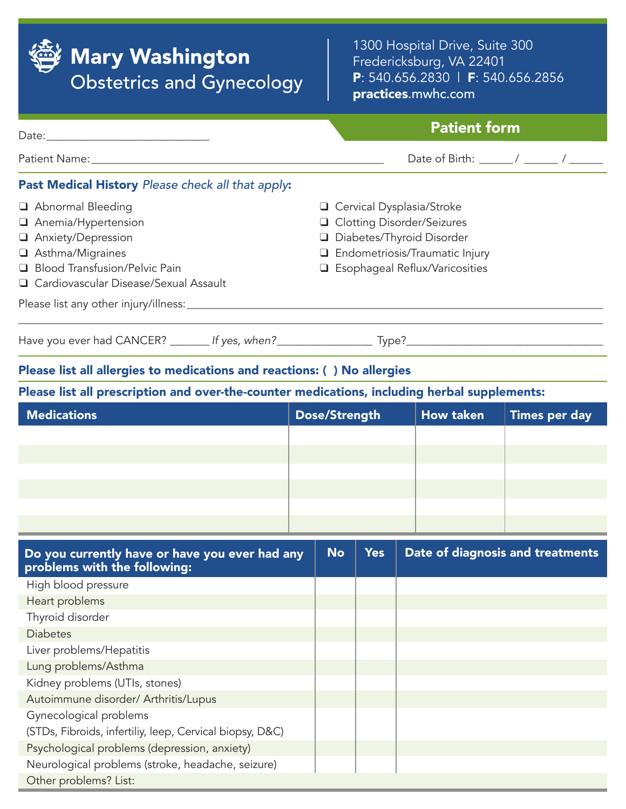

# **Mary Washington Obstetrics and Gynecology**

1300 Hospital Drive, Suite 300 Fredericksburg, VA 22401 P: 540.656.2830 | F: 540.656.2856 practices.mwhc.com

## Patient form

Patient Name: \_\_\_\_\_\_\_\_\_\_\_\_\_\_\_\_\_\_\_\_\_\_\_\_\_\_\_\_\_\_\_\_\_\_\_\_\_\_\_\_\_\_\_\_\_\_\_\_\_\_\_\_ Date of Birth: \_\_\_\_\_\_ / \_\_\_\_\_\_ / \_\_\_\_\_\_ Past Medical History *Please check all that apply*: Abnormal Bleeding Anemia/Hypertension Anxiety/Depression G Cervical Dysplasia/Stroke □ Clotting Disorder/Seizures D Diabetes/Thyroid Disorder

\_\_\_\_\_\_\_\_\_\_\_\_\_\_\_\_\_\_\_\_\_\_\_\_\_\_\_\_\_\_\_\_\_\_\_\_\_\_\_\_\_\_\_\_\_\_\_\_\_\_\_\_\_\_\_\_\_\_\_\_\_\_\_\_\_\_\_\_\_\_\_\_\_\_\_\_\_\_\_\_\_\_\_\_\_\_\_\_\_\_\_\_\_\_\_\_\_\_\_\_\_\_\_\_

- Asthma/Migraines
- □ Blood Transfusion/Pelvic Pain

Date:\_\_\_\_\_\_\_\_\_\_\_\_\_\_\_\_\_\_\_\_\_\_\_\_\_\_\_\_\_

- □ Cardiovascular Disease/Sexual Assault
- Please list any other injury/illness:

Have you ever had CANCER? \_\_\_\_\_\_\_ *If yes, when?*\_\_\_\_\_\_\_\_\_\_\_\_\_\_\_\_\_ Type?\_\_\_\_\_\_\_\_\_\_\_\_\_\_\_\_\_\_\_\_\_\_\_\_\_\_\_\_\_\_\_\_\_\_\_

**Q** Endometriosis/Traumatic Injury G Esophageal Reflux/Varicosities

#### Please list all allergies to medications and reactions: ( ) No allergies

#### Please list all prescription and over-the-counter medications, including herbal supplements:

| <b>Medications</b> | Dose/Strength | <b>How taken</b> | Times per day |
|--------------------|---------------|------------------|---------------|
|                    |               |                  |               |
|                    |               |                  |               |
|                    |               |                  |               |
|                    |               |                  |               |
|                    |               |                  |               |
|                    |               |                  |               |

| Do you currently have or have you ever had any<br>problems with the following: | <b>No</b> | <b>Yes</b> | Date of diagnosis and treatments |
|--------------------------------------------------------------------------------|-----------|------------|----------------------------------|
| High blood pressure                                                            |           |            |                                  |
| Heart problems                                                                 |           |            |                                  |
| Thyroid disorder                                                               |           |            |                                  |
| <b>Diabetes</b>                                                                |           |            |                                  |
| Liver problems/Hepatitis                                                       |           |            |                                  |
| Lung problems/Asthma                                                           |           |            |                                  |
| Kidney problems (UTIs, stones)                                                 |           |            |                                  |
| Autoimmune disorder/ Arthritis/Lupus                                           |           |            |                                  |
| Gynecological problems                                                         |           |            |                                  |
| (STDs, Fibroids, infertiliy, leep, Cervical biopsy, D&C)                       |           |            |                                  |
| Psychological problems (depression, anxiety)                                   |           |            |                                  |
| Neurological problems (stroke, headache, seizure)                              |           |            |                                  |
| Other problems? List:                                                          |           |            |                                  |